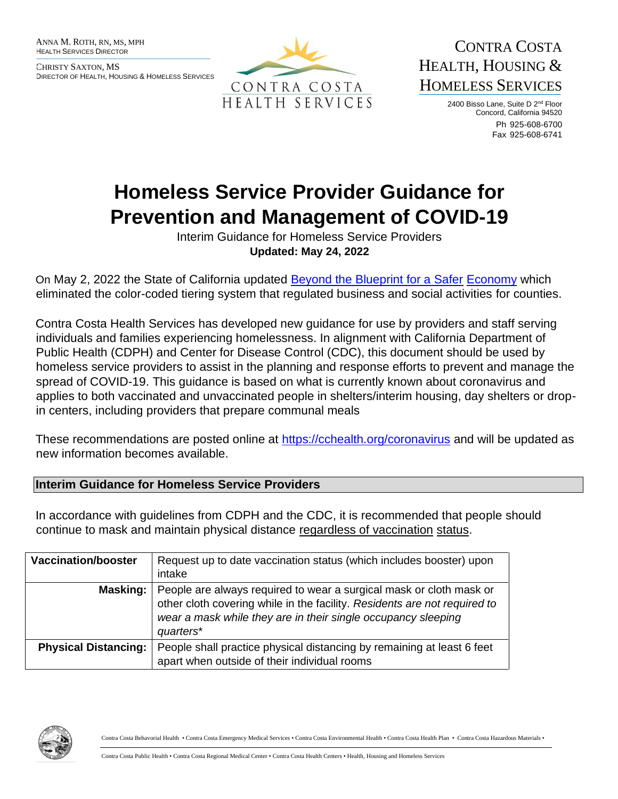ANNA M. ROTH, RN, MS, MPH HEALTH SERVICES DIRECTOR

CHRISTY SAXTON, MS DIRECTOR OF HEALTH, HOUSING & HOMELESS SERVICES



CONTRA COSTA HEALTH, HOUSING & HOMELESS SERVICES

> 2400 Bisso Lane, Suite D 2<sup>nd</sup> Floor Concord, California 94520 Ph 925-608-6700 Fax 925-608-6741

# **Homeless Service Provider Guidance for Prevention and Management of COVID-19**

Interim Guidance for Homeless Service Providers **Updated: May 24, 2022** 

On May 2, 2022 the State of California updated [Beyond the Blueprint for a Safer](https://www.cdph.ca.gov/Programs/CID/DCDC/Pages/COVID-19/Beyond-Blueprint-Framework.aspx) [Economy](https://www.cdph.ca.gov/Programs/CID/DCDC/Pages/COVID-19/Beyond-Blueprint-Framework.aspx) which eliminated the color-coded tiering system that regulated business and social activities for counties.

Contra Costa Health Services has developed new guidance for use by providers and staff serving individuals and families experiencing homelessness. In alignment with California Department of Public Health (CDPH) and Center for Disease Control (CDC), this document should be used by homeless service providers to assist in the planning and response efforts to prevent and manage the spread of COVID-19. This guidance is based on what is currently known about coronavirus and applies to both vaccinated and unvaccinated people in shelters/interim housing, day shelters or dropin centers, including providers that prepare communal meals

These recommendations are posted online at<https://cchealth.org/coronavirus> and will be updated as new information becomes available.

#### **Interim Guidance for Homeless Service Providers**

In accordance with guidelines from CDPH and the CDC, it is recommended that people should continue to mask and maintain physical distance regardless of vaccination status.

| <b>Vaccination/booster</b>  | Request up to date vaccination status (which includes booster) upon<br>intake                                                                                                                                                  |
|-----------------------------|--------------------------------------------------------------------------------------------------------------------------------------------------------------------------------------------------------------------------------|
| Masking:                    | People are always required to wear a surgical mask or cloth mask or<br>other cloth covering while in the facility. Residents are not required to<br>wear a mask while they are in their single occupancy sleeping<br>quarters* |
| <b>Physical Distancing:</b> | People shall practice physical distancing by remaining at least 6 feet<br>apart when outside of their individual rooms                                                                                                         |

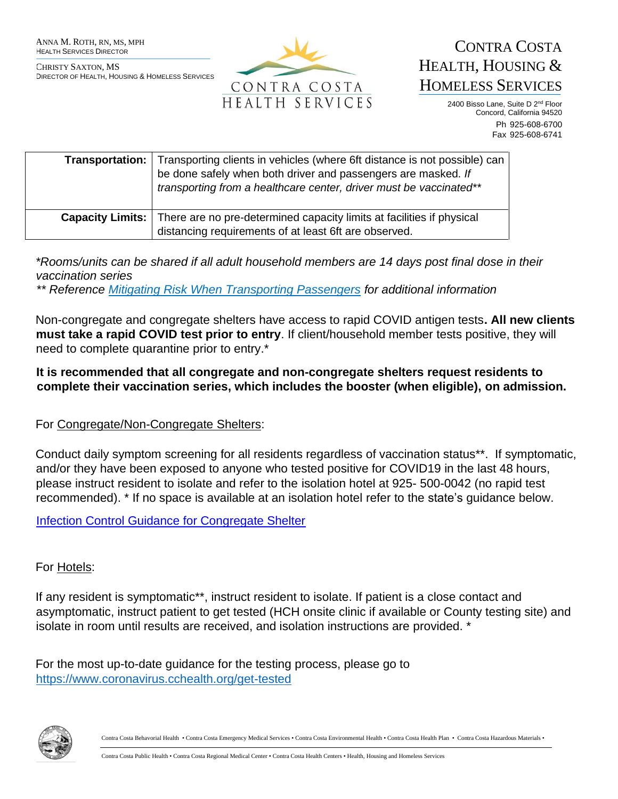

CONTRA COSTA HEALTH, HOUSING & HOMELESS SERVICES

> 2400 Bisso Lane, Suite D 2<sup>nd</sup> Floor Concord, California 94520 Ph 925-608-6700 Fax 925-608-6741

| <b>Transportation:</b> Transporting clients in vehicles (where 6ft distance is not possible) can<br>be done safely when both driver and passengers are masked. If<br>transporting from a healthcare center, driver must be vaccinated** |
|-----------------------------------------------------------------------------------------------------------------------------------------------------------------------------------------------------------------------------------------|
| <b>Capacity Limits:</b>   There are no pre-determined capacity limits at facilities if physical<br>distancing requirements of at least 6ft are observed.                                                                                |

*\*Rooms/units can be shared if all adult household members are 14 days post final dose in their vaccination series* 

*\*\* Reference [Mitigating Risk When Transporting Passengers](https://cchealth.org/covid19/providers/homeless/pdf/Memo-Mitigating-Risk-When-Transporting-Passengers.pdf) for additional information* 

Non-congregate and congregate shelters have access to rapid COVID antigen tests**. All new clients must take a rapid COVID test prior to entry**. If client/household member tests positive, they will need to complete quarantine prior to entry.\*

**It is recommended that all congregate and non-congregate shelters request residents to complete their vaccination series, which includes the booster (when eligible), on admission.** 

#### For Congregate/Non-Congregate Shelters:

Conduct daily symptom screening for all residents regardless of vaccination status\*\*. If symptomatic, and/or they have been exposed to anyone who tested positive for COVID19 in the last 48 hours, please instruct resident to isolate and refer to the isolation hotel at 925- 500-0042 (no rapid test recommended). \* If no space is available at an isolation hotel refer to the state's guidance below.

[Infection Control Guidance for Congregate Shelter](https://www.cdph.ca.gov/Programs/CID/DCDC/Pages/COVID-19/infection-control-guidance-clients-congregate-shelter-including-homelessness.aspx)

#### For Hotels:

If any resident is symptomatic\*\*, instruct resident to isolate. If patient is a close contact and asymptomatic, instruct patient to get tested (HCH onsite clinic if available or County testing site) and isolate in room until results are received, and isolation instructions are provided. \*

For the most up-to-date guidance for the testing process, please go to <https://www.coronavirus.cchealth.org/get-tested>

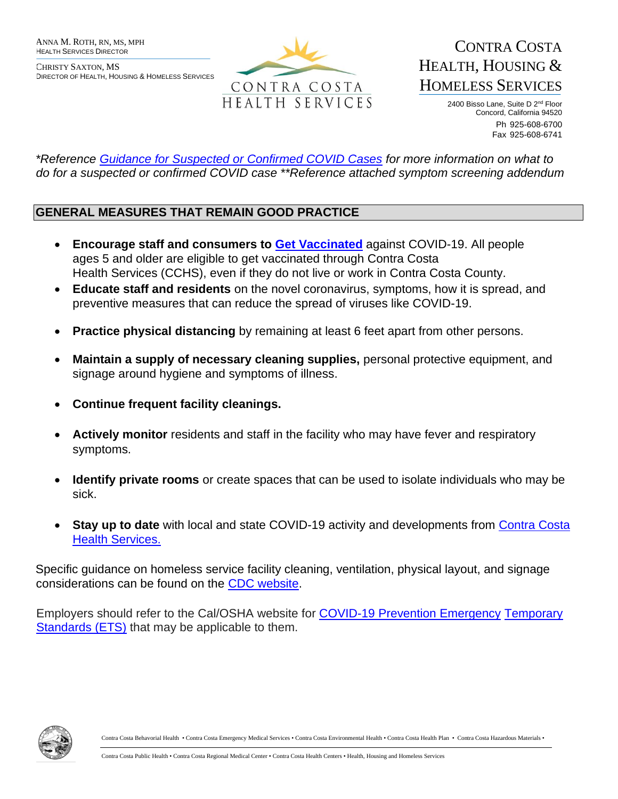

CONTRA COSTA HEALTH, HOUSING & HOMELESS SERVICES

> 2400 Bisso Lane, Suite D 2<sup>nd</sup> Floor Concord, California 94520 Ph 925-608-6700 Fax 925-608-6741

*\*Reference Guidance [for Suspected or Confirmed COVID Cases](https://cchealth.org/covid19/providers/homeless/pdf/Guidance-for-Suspected-or-Confirmed-COVID-19-Cases-for-Homeless-Providers.pdf) for more information on what to do for a suspected or confirmed COVID case \*\*Reference attached symptom screening addendum* 

# **GENERAL MEASURES THAT REMAIN GOOD PRACTICE**

- **Encourage staff and consumers to [Get Vaccinated](https://covidvaccine.cchealth.org/COVIDVaccine/)** against COVID-19. All people ages 5 and older are eligible to get vaccinated through Contra Costa Health Services (CCHS), even if they do not live or work in Contra Costa County.
- **Educate staff and residents** on the novel coronavirus, symptoms, how it is spread, and preventive measures that can reduce the spread of viruses like COVID-19.
- **Practice physical distancing** by remaining at least 6 feet apart from other persons.
- **Maintain a supply of necessary cleaning supplies,** personal protective equipment, and signage around hygiene and symptoms of illness.
- **Continue frequent facility cleanings.**
- **Actively monitor** residents and staff in the facility who may have fever and respiratory symptoms.
- **Identify private rooms** or create spaces that can be used to isolate individuals who may be sick.
- **Stay up to date** with local and state COVID-19 activity and developments from Contra Costa [Health Services.](https://cchealth.org/coronavirus)

Specific guidance on homeless service facility cleaning, ventilation, physical layout, and signage considerations can be found on the [CDC website.](https://www.cdc.gov/coronavirus/2019-ncov/community/homeless-shelters/plan-prepare-respond.html)

Employers should refer to the Cal/OSHA website for [COVID-19 Prevention Emergency](https://www.dir.ca.gov/dosh/coronavirus/ETS.html) [Temporary](https://www.dir.ca.gov/dosh/coronavirus/ETS.html)  [Standards \(ETS\)](https://www.dir.ca.gov/dosh/coronavirus/ETS.html) that may be applicable to them.

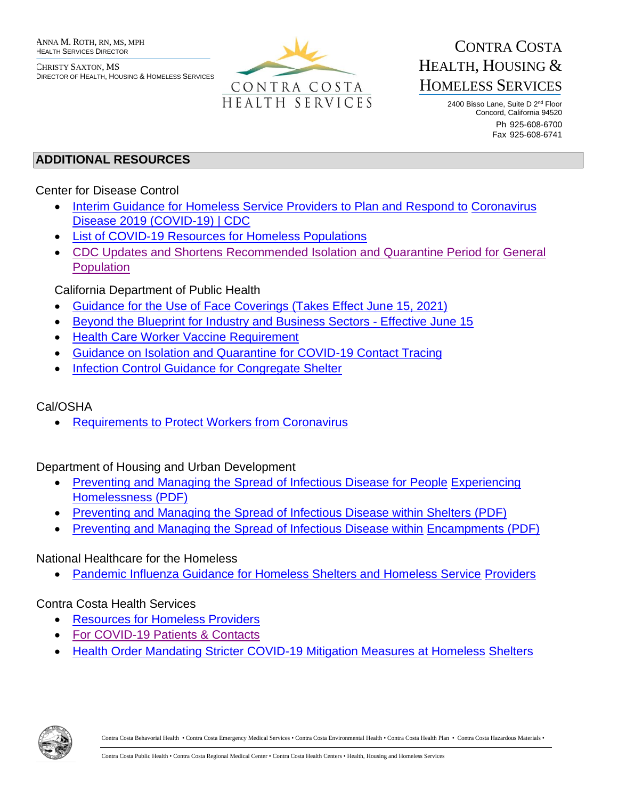

# CONTRA COSTA HEALTH, HOUSING & HOMELESS SERVICES

2400 Bisso Lane, Suite D 2<sup>nd</sup> Floor Concord, California 94520 Ph 925-608-6700 Fax 925-608-6741

# **ADDITIONAL RESOURCES**

#### Center for Disease Control

- [Interim Guidance for Homeless Service Providers to Plan and Respond to](https://www.cdc.gov/coronavirus/2019-ncov/community/homeless-shelters/plan-prepare-respond.html) [Coronavirus](https://www.cdc.gov/coronavirus/2019-ncov/community/homeless-shelters/plan-prepare-respond.html)  [Disease 2019 \(COVID-19\) | CDC](https://www.cdc.gov/coronavirus/2019-ncov/community/homeless-shelters/plan-prepare-respond.html)
- [List of COVID-19 Resources for Homeless Populations](https://www.cdc.gov/coronavirus/2019-ncov/community/list-of-resources-homeless.html)
- CDC Updates and Shortens [Recommended Isolation and Quarantine Period for](https://www.cdc.gov/media/releases/2021/s1227-isolation-quarantine-guidance.html) [General](https://www.cdc.gov/media/releases/2021/s1227-isolation-quarantine-guidance.html) [Population](https://www.cdc.gov/media/releases/2021/s1227-isolation-quarantine-guidance.html)

# California Department of Public Health

- [Guidance for the Use of Face Coverings \(Takes Effect June 15, 2021\)](https://www.cdph.ca.gov/Programs/CID/DCDC/Pages/COVID-19/guidance-for-face-coverings.aspx)
- [Beyond the Blueprint for Industry and Business Sectors -](https://www.cdph.ca.gov/Programs/CID/DCDC/Pages/COVID-19/Beyond-Blueprint-Framework.aspx) [Effective](https://www.cdph.ca.gov/Programs/CID/DCDC/Pages/COVID-19/Beyond-Blueprint-Framework.aspx) June 1[5](https://www.cdph.ca.gov/Programs/CID/DCDC/Pages/COVID-19/Beyond-Blueprint-Framework.aspx)
- Health [Care Worker Vaccine Requirement](https://www.cdph.ca.gov/Programs/CID/DCDC/Pages/COVID-19/Order-of-the-State-Public-Health-Officer-Health-Care-Worker-Vaccine-Requirement.aspx)
- [Guidance on Isolation and Quarantine for COVID-19 Contact Tracing](https://www.cdph.ca.gov/Programs/CID/DCDC/Pages/COVID-19/Guidance-on-Isolation-and-Quarantine-for-COVID-19-Contact-Tracing.aspx)
- [Infection Control Guidance for Congregate Shelter](https://www.cdph.ca.gov/Programs/CID/DCDC/Pages/COVID-19/infection-control-guidance-clients-congregate-shelter-including-homelessness.aspx)

# Cal/OSHA

• [Requirements to Protect Workers from Coronavirus](https://www.dir.ca.gov/dosh/coronavirus/)

Department of Housing and Urban Development

- [Preventing and Managing the Spread of Infectious Disease for People](https://files.hudexchange.info/resources/documents/Infectious-Disease-Toolkit-for-CoCs-Preventing-and-Managing-the-Spread-of-Infectious-Disease-for-People-Experiencing-Homelessness.pdf) [Experiencing](https://files.hudexchange.info/resources/documents/Infectious-Disease-Toolkit-for-CoCs-Preventing-and-Managing-the-Spread-of-Infectious-Disease-for-People-Experiencing-Homelessness.pdf)  [Homelessness](https://files.hudexchange.info/resources/documents/Infectious-Disease-Toolkit-for-CoCs-Preventing-and-Managing-the-Spread-of-Infectious-Disease-for-People-Experiencing-Homelessness.pdf) [\(PDF\)](https://files.hudexchange.info/resources/documents/Infectious-Disease-Toolkit-for-CoCs-Preventing-and-Managing-the-Spread-of-Infectious-Disease-for-People-Experiencing-Homelessness.pdf)
- [Preventing and Managing the Spread of Infectious Disease within Shelters](https://files.hudexchange.info/resources/documents/Infectious-Disease-Toolkit-for-CoCs-Preventing-and-Managing-the-Spread-of-Infectious-Disease-within-Shelters.pdf) [\(PDF\)](https://files.hudexchange.info/resources/documents/Infectious-Disease-Toolkit-for-CoCs-Preventing-and-Managing-the-Spread-of-Infectious-Disease-within-Shelters.pdf)
- [Preventing and Managing the Spread of Infectious Disease within](https://files.hudexchange.info/resources/documents/Infectious-Disease-Toolkit-for-CoCs-Preventing-and-Managing-the-Spread-of-Infectious-Disease-within-Encampments.pdf) [Encampments](https://files.hudexchange.info/resources/documents/Infectious-Disease-Toolkit-for-CoCs-Preventing-and-Managing-the-Spread-of-Infectious-Disease-within-Encampments.pdf) [\(PDF\)](https://files.hudexchange.info/resources/documents/Infectious-Disease-Toolkit-for-CoCs-Preventing-and-Managing-the-Spread-of-Infectious-Disease-within-Encampments.pdf)

# National Healthcare for the Homeless

• [Pandemic Influenza Guidance for Homeless Shelters and Homeless Service](https://nhchc.org/wp-content/uploads/2019/08/flumanual.pdf) [Providers](https://nhchc.org/wp-content/uploads/2019/08/flumanual.pdf)

# Contra Costa Health Services

- [Resources for Homeless Providers](https://cchealth.org/covid19/providers/homeless/)
- [For COVID-19 Patients & Contacts](https://www.coronavirus.cchealth.org/for-covid-19-patients)
- [Health Order Mandating Stricter COVID-19 Mitigation Measures at Homeless](https://cchealth.org/covid19/providers/homeless/pdf/HO-Homeless-Shelters-2021-1227.pdf) [Shelters](https://cchealth.org/covid19/providers/homeless/pdf/HO-Homeless-Shelters-2021-1227.pdf)